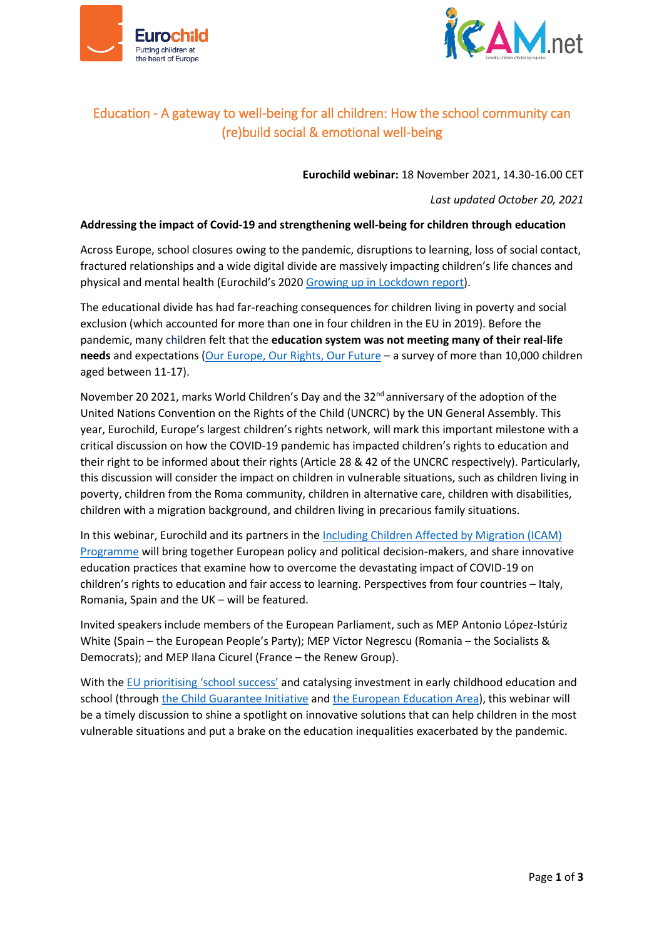



## Education - A gateway to well-being for all children: How the school community can (re)build social & emotional well-being

**Eurochild webinar:** 18 November 2021, 14.30-16.00 CET

*Last updated October 20, 2021*

### **Addressing the impact of Covid-19 and strengthening well-being for children through education**

Across Europe, school closures owing to the pandemic, disruptions to learning, loss of social contact, fractured relationships and a wide digital divide are massively impacting children's life chances and physical and mental health (Eurochild's 2020 [Growing up in Lockdown report\)](https://eurochild.org/resource/growing-up-in-lockdown-europes-children-in-the-age-of-covid-19/).

The educational divide has had far-reaching consequences for children living in poverty and social exclusion (which accounted for more than one in four children in the EU in 2019). Before the pandemic, many children felt that the **education system was not meeting many of their real-life needs** and expectations [\(Our Europe, Our Rights, Our Future](https://www.eurochild.org/resource/our-europe-our-rights-our-future/) – a survey of more than 10,000 children aged between 11-17).

November 20 2021, marks World Children's Day and the 32<sup>nd</sup> anniversary of the adoption of the United Nations Convention on the Rights of the Child (UNCRC) by the UN General Assembly. This year, Eurochild, Europe's largest children's rights network, will mark this important milestone with a critical discussion on how the COVID-19 pandemic has impacted children's rights to education and their right to be informed about their rights (Article 28 & 42 of the UNCRC respectively). Particularly, this discussion will consider the impact on children in vulnerable situations, such as children living in poverty, children from the Roma community, children in alternative care, children with disabilities, children with a migration background, and children living in precarious family situations.

In this webinar, Eurochild and its partners in the [Including Children Affected by Migration \(ICAM\)](https://www.icamproject.eu/about/purpose/)  [Programme](https://www.icamproject.eu/about/purpose/) will bring together European policy and political decision-makers, and share innovative education practices that examine how to overcome the devastating impact of COVID-19 on children's rights to education and fair access to learning. Perspectives from four countries – Italy, Romania, Spain and the UK – will be featured.

Invited speakers include members of the European Parliament, such as MEP Antonio López-Istúriz White (Spain – the European People's Party); MEP Victor Negrescu (Romania – the Socialists & Democrats); and MEP Ilana Cicurel (France – the Renew Group).

With the [EU prioritising 'school success'](https://ec.europa.eu/education/education-in-the-eu/european-education-area/pathways-school-success_en) and catalysing investment in early childhood education and school (through [the Child Guarantee](https://ec.europa.eu/social/main.jsp?catId=1428&langId=en) Initiative an[d the European Education Area\)](https://ec.europa.eu/education/education-in-the-eu/european-education-area_en), this webinar will be a timely discussion to shine a spotlight on innovative solutions that can help children in the most vulnerable situations and put a brake on the education inequalities exacerbated by the pandemic.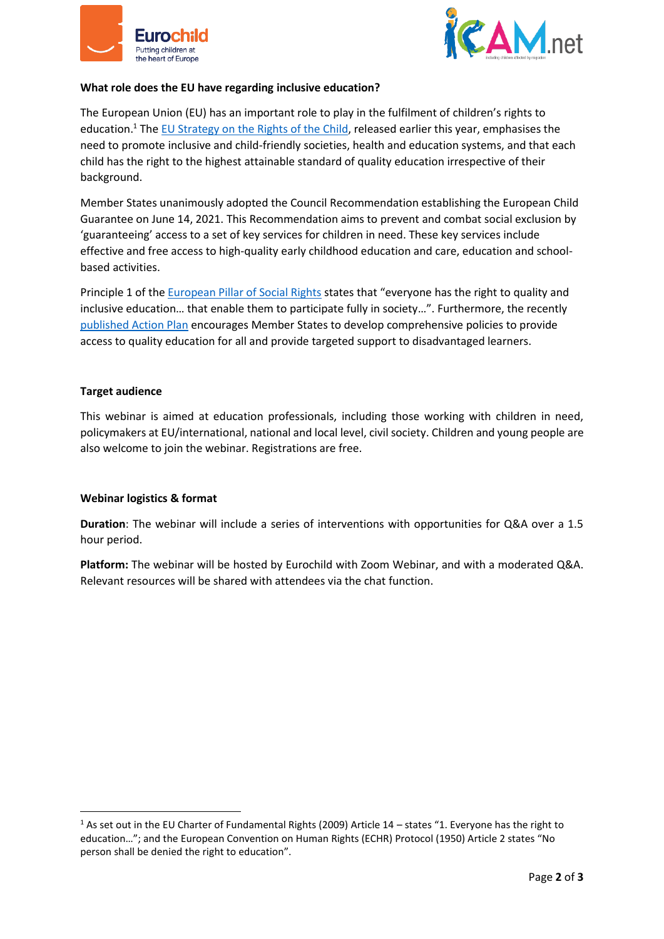



#### **What role does the EU have regarding inclusive education?**

The European Union (EU) has an important role to play in the fulfilment of children's rights to education.<sup>1</sup> The **EU Strategy on the Rights of the Child**, released earlier this year, emphasises the need to promote inclusive and child-friendly societies, health and education systems, and that each child has the right to the highest attainable standard of quality education irrespective of their background.

Member States unanimously adopted the Council Recommendation establishing the European Child Guarantee on June 14, 2021. This Recommendation aims to prevent and combat social exclusion by 'guaranteeing' access to a set of key services for children in need. These key services include effective and free access to high-quality early childhood education and care, education and schoolbased activities.

Principle 1 of th[e European Pillar of Social Rights](https://ec.europa.eu/info/strategy/priorities-2019-2024/economy-works-people/jobs-growth-and-investment/european-pillar-social-rights/european-pillar-social-rights-20-principles_en) states that "everyone has the right to quality and inclusive education… that enable them to participate fully in society…". Furthermore, the recently [published Action Plan](https://www.eurochild.org/uploads/2021/04/European-Pillar-of-Social-Rights-Action-Plan-Eurochild-Reaction.pdf) encourages Member States to develop comprehensive policies to provide access to quality education for all and provide targeted support to disadvantaged learners.

#### **Target audience**

**.** 

This webinar is aimed at education professionals, including those working with children in need, policymakers at EU/international, national and local level, civil society. Children and young people are also welcome to join the webinar. Registrations are free.

#### **Webinar logistics & format**

**Duration**: The webinar will include a series of interventions with opportunities for Q&A over a 1.5 hour period.

**Platform:** The webinar will be hosted by Eurochild with Zoom Webinar, and with a moderated Q&A. Relevant resources will be shared with attendees via the chat function.

<sup>&</sup>lt;sup>1</sup> As set out in the EU Charter of Fundamental Rights (2009) Article  $14$  – states "1. Everyone has the right to education…"; and the European Convention on Human Rights (ECHR) Protocol (1950) Article 2 states "No person shall be denied the right to education".